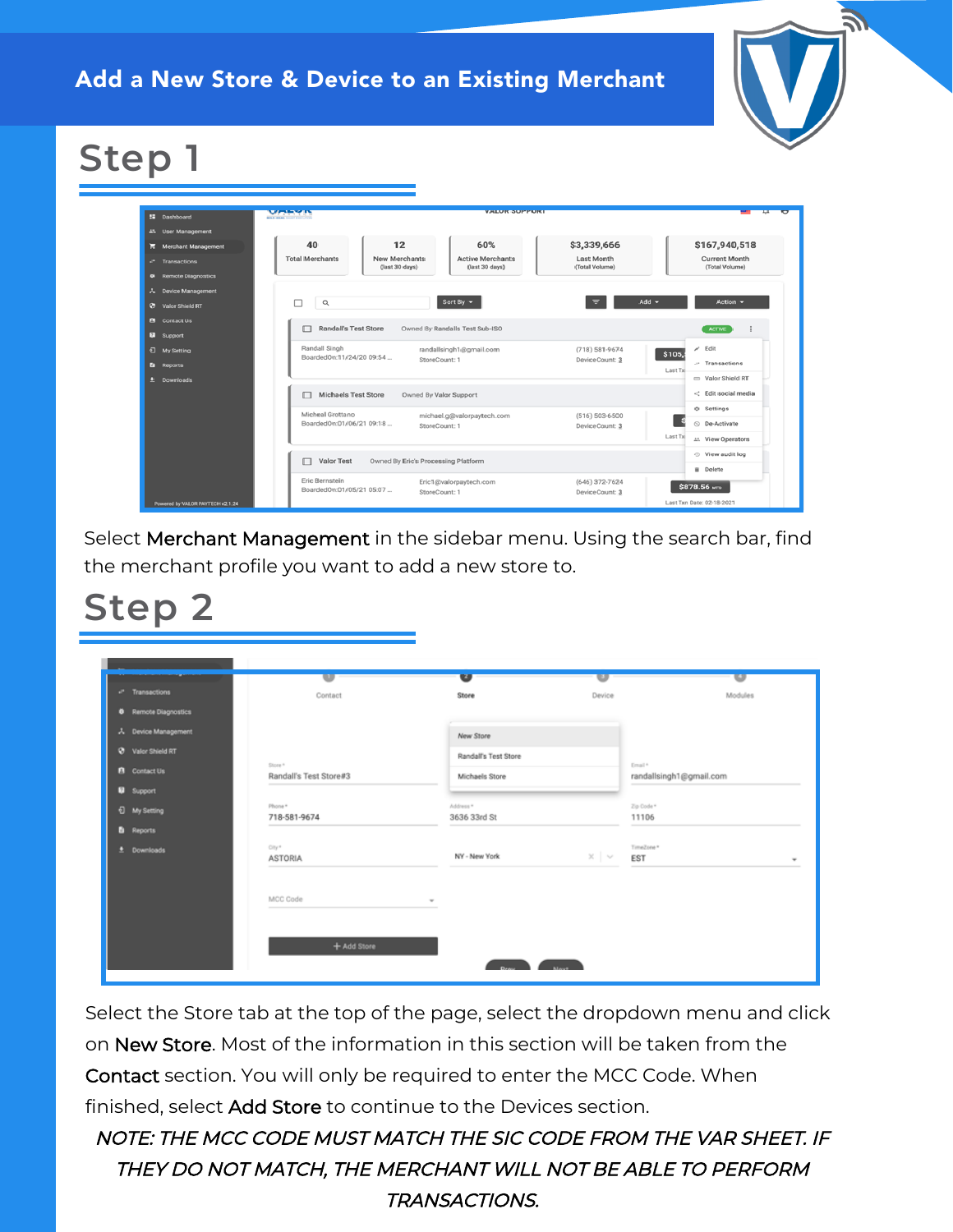Add a New Store & Device to an Existing Merchant



# **Step 1**

| 52 Dashboard                | MARKIN                                     |                                                   | <b>VALUR SUPPURT</b>                      |                                    |                                 |
|-----------------------------|--------------------------------------------|---------------------------------------------------|-------------------------------------------|------------------------------------|---------------------------------|
| 41 User Management          |                                            |                                                   |                                           |                                    |                                 |
| ■ Merchant Management       | 40                                         | 12                                                | 60%                                       | \$3,339,666                        | \$167,940,518                   |
| - Transactions              | <b>Total Merchants</b>                     | New Merchants<br>(last 30 days)                   | <b>Active Merchants</b><br>(last 30 days) | Last Month<br>(Total Volume)       | Current Month<br>(Total Volume) |
| <b>8</b> Remote Diagnostics |                                            |                                                   |                                           |                                    |                                 |
| A Device Management         |                                            |                                                   |                                           |                                    |                                 |
| Valor Shield RT             | п<br>$\alpha$                              |                                                   | Sort By $\sim$                            | Add $\sim$                         | Action $-$                      |
| <b>R</b> Contact Us         | Randall's Test Store<br>⊓                  |                                                   | Owned By Randalls Test Sub-ISO            |                                    | <b>ACTIVE</b>                   |
| <b>B</b> Support            |                                            |                                                   |                                           |                                    |                                 |
| <b><i>Q</i></b> My Setting  | Randall Singh<br>BoardedOn:11/24/20 09:54  |                                                   | randallsingh1@gmail.com<br>StoreCount: 1  | $(718)$ 581-9674<br>DeviceCount: 3 | $\angle$ Edit<br>\$105,         |
| <b>B</b> Reports            |                                            |                                                   |                                           |                                    | $-$ Transactions<br>Last Tx     |
| <b>Downloads</b>            |                                            |                                                   |                                           |                                    | = Valor Shield RT               |
|                             | Michaels Test Store<br>п                   |                                                   | Owned By Valor Support                    |                                    | < Edit social media             |
|                             | Micheal Grottano                           |                                                   | michael.g@valorpaytech.com                | $(516) 503 - 6500$                 | $\Leftrightarrow$ Settings      |
|                             | BoardedOn:01/06/21 09:18                   |                                                   | StoreCount: 1                             | DeviceCount: 3                     | O De-Activate                   |
|                             |                                            |                                                   |                                           |                                    | Last Tx<br>21. View Operators   |
|                             | □                                          | Valor Test<br>Owned By Eric's Processing Platform |                                           |                                    |                                 |
|                             |                                            |                                                   |                                           |                                    | <b>B</b> Delete                 |
|                             | Eric Bernstein<br>BoardedOn:01/05/21 05:07 |                                                   | Eric1@valorpaytech.com<br>StoreCount: 1   | $(646)$ 372-7624<br>DeviceCount: 3 | \$878.56 MTD                    |

Select Merchant Management in the sidebar menu. Using the search bar, find the merchant profile you want to add a new store to.

## **Step 2**

|                             | w                                 | $\bullet$                | U                 | U                                 |
|-----------------------------|-----------------------------------|--------------------------|-------------------|-----------------------------------|
| P Transactions              | Contact                           | Store                    | Device            | Modules                           |
| <b>0</b> Remote Diagnostics |                                   |                          |                   |                                   |
| A Device Management         |                                   | New Store                |                   |                                   |
| <b>Q</b> Valor Shield RT    |                                   | Randall's Test Store     |                   |                                   |
| <b>B</b> Contact Us         | Store *<br>Randall's Test Store#3 | Michaels Store           |                   | Email*<br>randallsingh1@gmail.com |
| <b>Q</b> Support            |                                   |                          |                   |                                   |
| <b><i>Q</i></b> My Setting  | Phone *<br>718-581-9674           | Address*<br>3636 33rd St |                   | Zip Code *<br>11106               |
| <b>B</b> Reports            |                                   |                          |                   |                                   |
| $±$ Downloads               | City*<br><b>ASTORIA</b>           | NY - New York            | $\times$   $\vee$ | TimeZone*<br>EST                  |
|                             | MCC Code                          | $\overline{\phantom{a}}$ |                   |                                   |
|                             |                                   |                          |                   |                                   |
|                             | + Add Store                       |                          |                   |                                   |
|                             |                                   | $\sum_{i=1}^{n}$         |                   |                                   |

Select the Store tab at the top of the page, select the dropdown menu and click on New Store. Most of the information in this section will be taken from the Contact section. You will only be required to enter the MCC Code. When finished, select Add Store to continue to the Devices section.

NOTE: THE MCC CODE MUST MATCH THE SIC CODE FROM THE VAR SHEET. IF THEY DO NOT MATCH, THE MERCHANT WILL NOT BE ABLE TO PERFORM TRANSACTIONS.